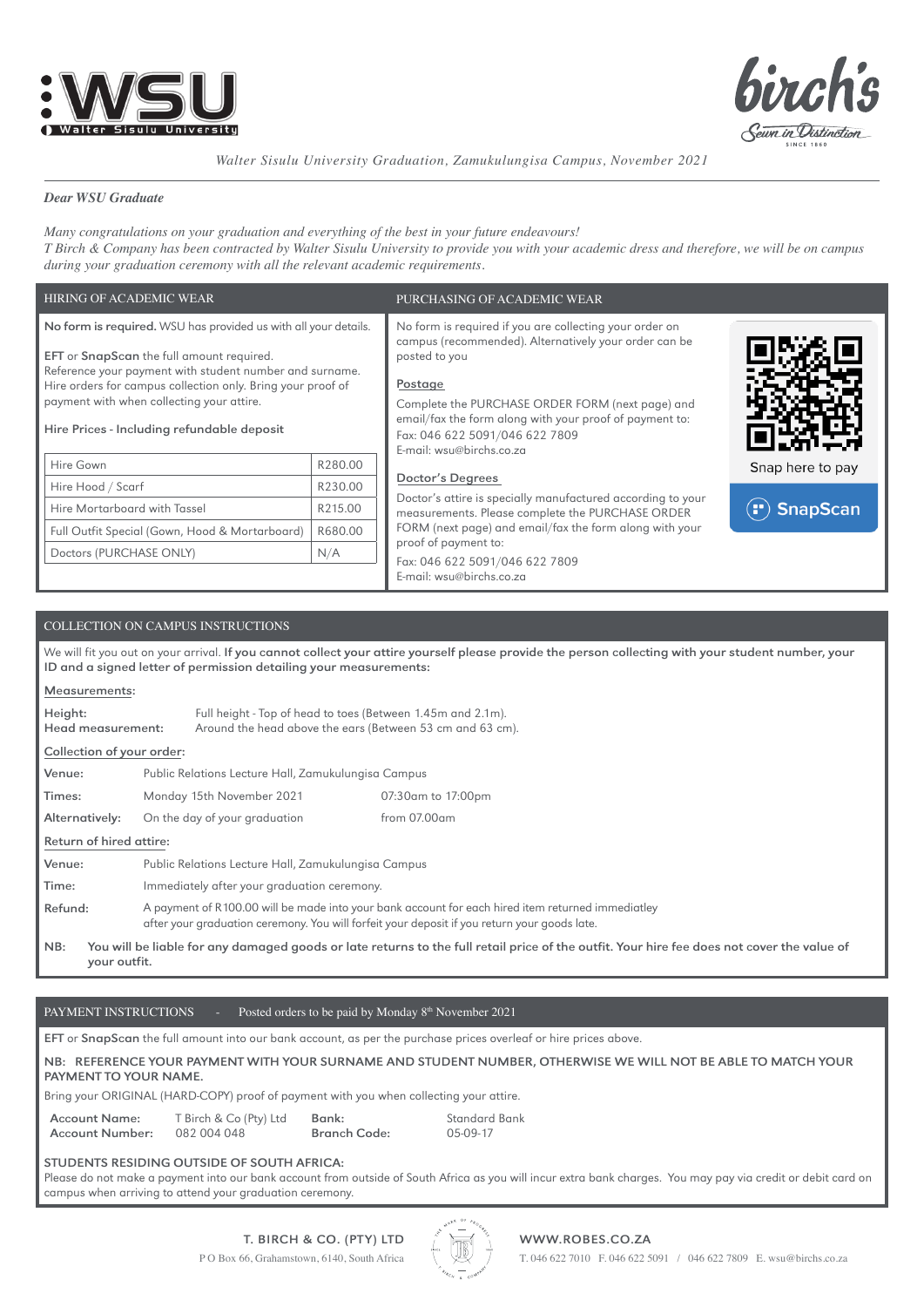



*Walter Sisulu University Graduation, Zamukulungisa Campus, November 2021*

# *Dear WSU Graduate*

*Many congratulations on your graduation and everything of the best in your future endeavours! T Birch & Company has been contracted by Walter Sisulu University to provide you with your academic dress and therefore, we will be on campus during your graduation ceremony with all the relevant academic requirements.*

| HIRING OF ACADEMIC WEAR                                                                                                                                                                                                                                                                                                                         |         | PURCHASING OF ACADEMIC WEAR                                                                                                                                                                                                                                                                                               |                  |  |  |
|-------------------------------------------------------------------------------------------------------------------------------------------------------------------------------------------------------------------------------------------------------------------------------------------------------------------------------------------------|---------|---------------------------------------------------------------------------------------------------------------------------------------------------------------------------------------------------------------------------------------------------------------------------------------------------------------------------|------------------|--|--|
| No form is required. WSU has provided us with all your details.<br><b>EFT</b> or <b>SnapScan</b> the full amount required.<br>Reference your payment with student number and surname.<br>Hire orders for campus collection only. Bring your proof of<br>payment with when collecting your attire.<br>Hire Prices - Including refundable deposit |         | No form is required if you are collecting your order on<br>campus (recommended). Alternatively your order can be<br>posted to you<br>Postage<br>Complete the PURCHASE ORDER FORM (next page) and<br>email/fax the form along with your proof of payment to:<br>Fax: 046 622 5091/046 622 7809<br>E-mail: wsu@birchs.co.za |                  |  |  |
| Hire Gown                                                                                                                                                                                                                                                                                                                                       | R280.00 | Doctor's Degrees                                                                                                                                                                                                                                                                                                          | Snap here to pay |  |  |
| Hire Hood / Scarf                                                                                                                                                                                                                                                                                                                               | R230.00 | Doctor's attire is specially manufactured according to your                                                                                                                                                                                                                                                               |                  |  |  |
| Hire Mortarboard with Tassel                                                                                                                                                                                                                                                                                                                    | R215.00 | measurements. Please complete the PURCHASE ORDER                                                                                                                                                                                                                                                                          | <b>SnapScan</b>  |  |  |
| Full Outfit Special (Gown, Hood & Mortarboard)                                                                                                                                                                                                                                                                                                  | R680.00 | FORM (next page) and email/fax the form along with your                                                                                                                                                                                                                                                                   |                  |  |  |
| Doctors (PURCHASE ONLY)                                                                                                                                                                                                                                                                                                                         | N/A     | proof of payment to:<br>Fax: 046 622 5091/046 622 7809<br>E-mail: wsu@birchs.co.za                                                                                                                                                                                                                                        |                  |  |  |

# COLLECTION ON CAMPUS INSTRUCTIONS

We will fit you out on your arrival. If you cannot collect your attire yourself please provide the person collecting with your student number, your ID and a signed letter of permission detailing your measurements:

# Measurements: Height: Head measurement: Full height - Top of head to toes (Between 1.45m and 2.1m). Around the head above the ears (Between 53 cm and 63 cm). Collection of your order: Venue: Public Relations Lecture Hall, Zamukulungisa Campus Times: Monday 15th November 2021 07:30am to 17:00pm Alternatively: On the day of your graduation from 07.00am Return of hired attire: Venue: Public Relations Lecture Hall, Zamukulungisa Campus Time: Immediately after your graduation ceremony. Refund: A payment of R100.00 will be made into your bank account for each hired item returned immediatley after your graduation ceremony. You will forfeit your deposit if you return your goods late. NB: You will be liable for any damaged goods or late returns to the full retail price of the outfit. Your hire fee does not cover the value of your outfit.

# PAYMENT INSTRUCTIONS - Posted orders to be paid by Monday  $8<sup>th</sup>$  November 2021

EFT or SnapScan the full amount into our bank account, as per the purchase prices overleaf or hire prices above.

# NB: REFERENCE YOUR PAYMENT WITH YOUR SURNAME AND STUDENT NUMBER, OTHERWISE WE WILL NOT BE ABLE TO MATCH YOUR PAYMENT TO YOUR NAME.

Bring your ORIGINAL (HARD-COPY) proof of payment with you when collecting your attire.

Account Name: Account Number: T Birch & Co (Pty) Ltd 082 004 048 Bank: Branch Code: Standard Bank 05-09-17

## STUDENTS RESIDING OUTSIDE OF SOUTH AFRICA:

Please do not make a payment into our bank account from outside of South Africa as you will incur extra bank charges. You may pay via credit or debit card on campus when arriving to attend your graduation ceremony.



P O Box 66, Grahamstown, 6140, South Africa T. 046 622 7010 F. 046 622 5091 / 046 622 7809 E. wsu@birchs.co.za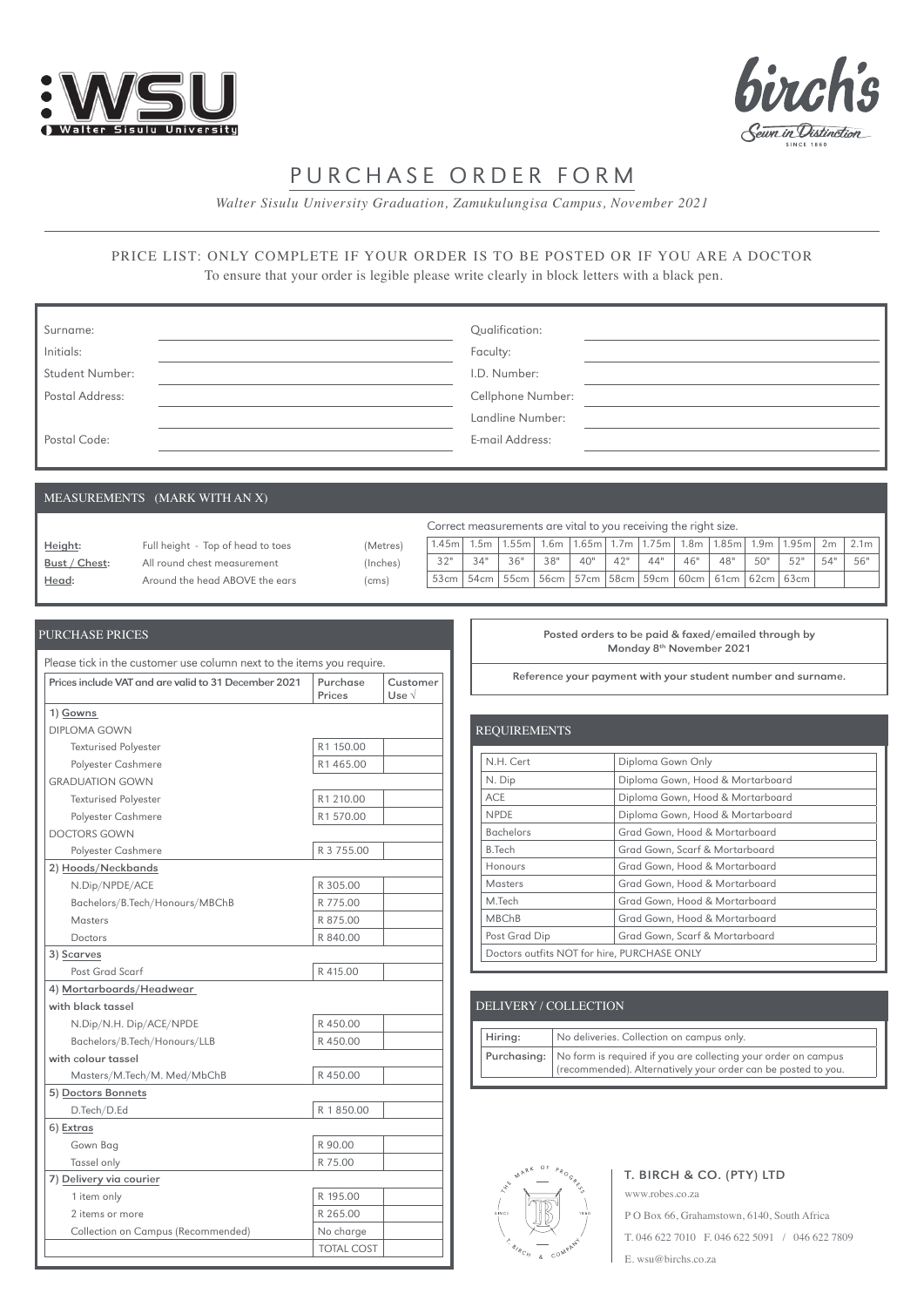



# PURCHASE ORDER FORM

*Walter Sisulu University Graduation, Zamukulungisa Campus, November 2021*

# PRICE LIST: ONLY COMPLETE IF YOUR ORDER IS TO BE POSTED OR IF YOU ARE A DOCTOR To ensure that your order is legible please write clearly in block letters with a black pen.

| Surname:               | Qualification:    |
|------------------------|-------------------|
| Initials:              | Faculty:          |
| <b>Student Number:</b> | I.D. Number:      |
| Postal Address:        | Cellphone Number: |
|                        | Landline Number:  |
| Postal Code:           | E-mail Address:   |

# MEASUREMENTS (MARK WITH AN X)

|               |                                   |          | Correct measurements are vital to you receiving the right size. |      |      |        |       |                  |                                        |     |              |     |                     |     |                  |
|---------------|-----------------------------------|----------|-----------------------------------------------------------------|------|------|--------|-------|------------------|----------------------------------------|-----|--------------|-----|---------------------|-----|------------------|
| Height:       | Full height - Top of head to toes | (Metres) | 1.45m                                                           | .5m  | .55m | $1.6m$ | 1.65m | 1.7 <sub>m</sub> | $1.75m$ 1.8m                           |     | $1.85m$ 1.9m |     | 1.95m               | 2m  | 2.1 <sub>m</sub> |
| Bust / Chest: | All round chest measurement       | (Inches) | 32"                                                             | 34"  | 36"  | 38"    | 40"   | 42"              | 44"                                    | 46" | 48"          | 50" | 52"                 | 54" | 56"              |
| <u>Head:</u>  | Around the head ABOVE the ears    | (cms)    | 53cm                                                            | 54cm | 55cm |        |       |                  | 56cm   57cm   58cm   59cm <sup> </sup> |     |              |     | 60cm 61cm 62cm 63cm |     |                  |

| Prices include VAT and are valid to 31 December 2021 | Purchase<br>Prices | Customer<br>$Use \sqrt{ }$ |
|------------------------------------------------------|--------------------|----------------------------|
| 1) Gowns                                             |                    |                            |
| DIPLOMA GOWN                                         |                    |                            |
| <b>Texturised Polyester</b>                          | R1 150.00          |                            |
| Polyester Cashmere                                   | R1465.00           |                            |
| <b>GRADUATION GOWN</b>                               |                    |                            |
| <b>Texturised Polyester</b>                          | R1 210.00          |                            |
| Polyester Cashmere                                   | R1570.00           |                            |
| <b>DOCTORS GOWN</b>                                  |                    |                            |
| Polyester Cashmere                                   | R 3 755.00         |                            |
| 2) Hoods/Neckbands                                   |                    |                            |
| N.Dip/NPDE/ACE                                       | R 305.00           |                            |
| Bachelors/B.Tech/Honours/MBChB                       | R 775.00           |                            |
| Masters                                              | R 875.00           |                            |
| Doctors                                              | R 840.00           |                            |
| 3) Scarves                                           |                    |                            |
| Post Grad Scarf                                      | R 415.00           |                            |
| 4) Mortarboards/Headwear                             |                    |                            |
| with black tassel                                    |                    |                            |
| N.Dip/N.H. Dip/ACE/NPDE                              | R 450.00           |                            |
| Bachelors/B.Tech/Honours/LLB                         | R450.00            |                            |
| with colour tassel                                   |                    |                            |
| Masters/M.Tech/M. Med/MbChB                          | R450.00            |                            |
| 5) Doctors Bonnets                                   |                    |                            |
| D.Tech/D.Ed                                          | R 1850.00          |                            |
| 6) Extras                                            |                    |                            |
| Gown Bag                                             | R 90.00            |                            |
| Tassel only                                          | R 75.00            |                            |
| 7) Delivery via courier                              |                    |                            |
| 1 item only                                          | R 195.00           |                            |
| 2 items or more                                      | R 265.00           |                            |
| Collection on Campus (Recommended)                   | No charge          |                            |
|                                                      | <b>TOTAL COST</b>  |                            |

#### PURCHASE PRICES **PRICES PURCHASE PRICES POSTED ASSESS POSTED ASSESS POSTED ASSESS PURCHASE PRICES POSTED ASSESS** Monday 8th November 2021

Reference your payment with your student number and surname.

| <b>REQUIREMENTS</b>                         |                                  |
|---------------------------------------------|----------------------------------|
| N.H. Cert                                   | Diploma Gown Only                |
| N. Dip                                      | Diploma Gown, Hood & Mortarboard |
| <b>ACE</b>                                  | Diploma Gown, Hood & Mortarboard |
| <b>NPDE</b>                                 | Diploma Gown, Hood & Mortarboard |
| <b>Bachelors</b>                            | Grad Gown, Hood & Mortarboard    |
| <b>B.Tech</b>                               | Grad Gown, Scarf & Mortarboard   |
| Honours                                     | Grad Gown, Hood & Mortarboard    |
| Masters                                     | Grad Gown, Hood & Mortarboard    |
| M.Tech                                      | Grad Gown, Hood & Mortarboard    |
| <b>MBChB</b>                                | Grad Gown, Hood & Mortarboard    |
| Post Grad Dip                               | Grad Gown, Scarf & Mortarboard   |
| Doctors outfits NOT for hire, PURCHASE ONLY |                                  |

# DELIVERY / COLLECTION

| Hiring: | No deliveries. Collection on campus only.                                                                                                     |
|---------|-----------------------------------------------------------------------------------------------------------------------------------------------|
|         | Purchasing:   No form is required if you are collecting your order on campus<br>(recommended). Alternatively your order can be posted to you. |

www.robes.co.za



# T. BIRCH & CO. (PTY) LTD

P O Box 66, Grahamstown, 6140, South Africa T. 046 622 7010 F. 046 622 5091 / 046 622 7809 E. wsu@birchs.co.za